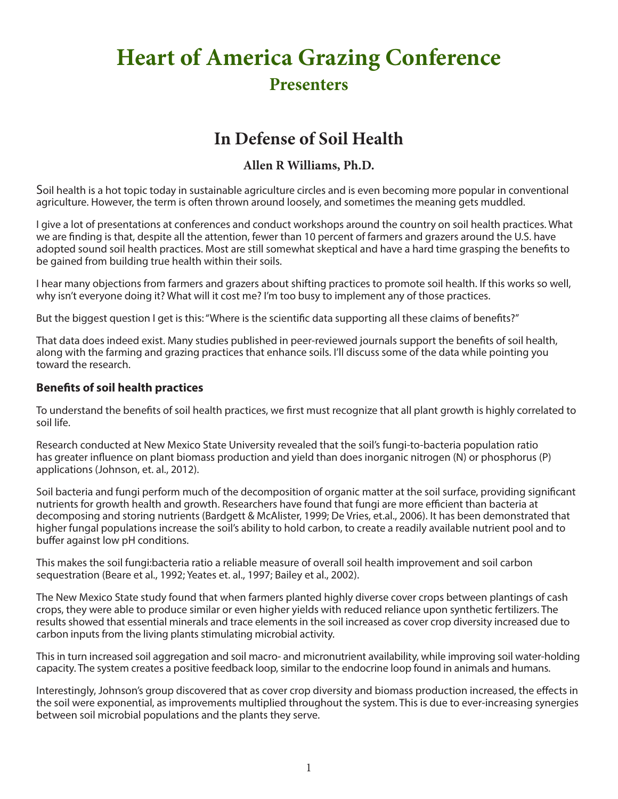# **Heart of America Grazing Conference Presenters**

# **In Defense of Soil Health**

# **Allen R Williams, Ph.D.**

Soil health is a hot topic today in sustainable agriculture circles and is even becoming more popular in conventional agriculture. However, the term is often thrown around loosely, and sometimes the meaning gets muddled.

I give a lot of presentations at conferences and conduct workshops around the country on soil health practices. What we are finding is that, despite all the attention, fewer than 10 percent of farmers and grazers around the U.S. have adopted sound soil health practices. Most are still somewhat skeptical and have a hard time grasping the benefits to be gained from building true health within their soils.

I hear many objections from farmers and grazers about shifting practices to promote soil health. If this works so well, why isn't everyone doing it? What will it cost me? I'm too busy to implement any of those practices.

But the biggest question I get is this: "Where is the scientific data supporting all these claims of benefits?"

That data does indeed exist. Many studies published in peer-reviewed journals support the benefits of soil health, along with the farming and grazing practices that enhance soils. I'll discuss some of the data while pointing you toward the research.

#### **Benefits of soil health practices**

To understand the benefits of soil health practices, we first must recognize that all plant growth is highly correlated to soil life.

Research conducted at New Mexico State University revealed that the soil's fungi-to-bacteria population ratio has greater influence on plant biomass production and yield than does inorganic nitrogen (N) or phosphorus (P) applications (Johnson, et. al., 2012).

Soil bacteria and fungi perform much of the decomposition of organic matter at the soil surface, providing significant nutrients for growth health and growth. Researchers have found that fungi are more efficient than bacteria at decomposing and storing nutrients (Bardgett & McAlister, 1999; De Vries, et.al., 2006). It has been demonstrated that higher fungal populations increase the soil's ability to hold carbon, to create a readily available nutrient pool and to buffer against low pH conditions.

This makes the soil fungi:bacteria ratio a reliable measure of overall soil health improvement and soil carbon sequestration (Beare et al., 1992; Yeates et. al., 1997; Bailey et al., 2002).

The New Mexico State study found that when farmers planted highly diverse cover crops between plantings of cash crops, they were able to produce similar or even higher yields with reduced reliance upon synthetic fertilizers. The results showed that essential minerals and trace elements in the soil increased as cover crop diversity increased due to carbon inputs from the living plants stimulating microbial activity.

This in turn increased soil aggregation and soil macro- and micronutrient availability, while improving soil water-holding capacity. The system creates a positive feedback loop, similar to the endocrine loop found in animals and humans.

Interestingly, Johnson's group discovered that as cover crop diversity and biomass production increased, the effects in the soil were exponential, as improvements multiplied throughout the system. This is due to ever-increasing synergies between soil microbial populations and the plants they serve.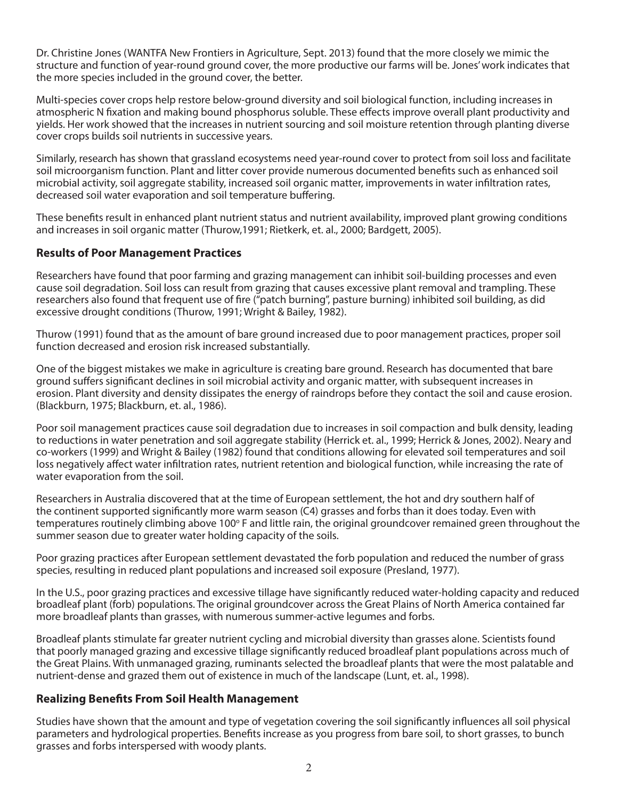Dr. Christine Jones (WANTFA New Frontiers in Agriculture, Sept. 2013) found that the more closely we mimic the structure and function of year-round ground cover, the more productive our farms will be. Jones' work indicates that the more species included in the ground cover, the better.

Multi-species cover crops help restore below-ground diversity and soil biological function, including increases in atmospheric N fixation and making bound phosphorus soluble. These effects improve overall plant productivity and yields. Her work showed that the increases in nutrient sourcing and soil moisture retention through planting diverse cover crops builds soil nutrients in successive years.

Similarly, research has shown that grassland ecosystems need year-round cover to protect from soil loss and facilitate soil microorganism function. Plant and litter cover provide numerous documented benefits such as enhanced soil microbial activity, soil aggregate stability, increased soil organic matter, improvements in water infiltration rates, decreased soil water evaporation and soil temperature buffering.

These benefits result in enhanced plant nutrient status and nutrient availability, improved plant growing conditions and increases in soil organic matter (Thurow,1991; Rietkerk, et. al., 2000; Bardgett, 2005).

#### **Results of Poor Management Practices**

Researchers have found that poor farming and grazing management can inhibit soil-building processes and even cause soil degradation. Soil loss can result from grazing that causes excessive plant removal and trampling. These researchers also found that frequent use of fire ("patch burning", pasture burning) inhibited soil building, as did excessive drought conditions (Thurow, 1991; Wright & Bailey, 1982).

Thurow (1991) found that as the amount of bare ground increased due to poor management practices, proper soil function decreased and erosion risk increased substantially.

One of the biggest mistakes we make in agriculture is creating bare ground. Research has documented that bare ground suffers significant declines in soil microbial activity and organic matter, with subsequent increases in erosion. Plant diversity and density dissipates the energy of raindrops before they contact the soil and cause erosion. (Blackburn, 1975; Blackburn, et. al., 1986).

Poor soil management practices cause soil degradation due to increases in soil compaction and bulk density, leading to reductions in water penetration and soil aggregate stability (Herrick et. al., 1999; Herrick & Jones, 2002). Neary and co-workers (1999) and Wright & Bailey (1982) found that conditions allowing for elevated soil temperatures and soil loss negatively affect water infiltration rates, nutrient retention and biological function, while increasing the rate of water evaporation from the soil.

Researchers in Australia discovered that at the time of European settlement, the hot and dry southern half of the continent supported significantly more warm season (C4) grasses and forbs than it does today. Even with temperatures routinely climbing above 100° F and little rain, the original groundcover remained green throughout the summer season due to greater water holding capacity of the soils.

Poor grazing practices after European settlement devastated the forb population and reduced the number of grass species, resulting in reduced plant populations and increased soil exposure (Presland, 1977).

In the U.S., poor grazing practices and excessive tillage have significantly reduced water-holding capacity and reduced broadleaf plant (forb) populations. The original groundcover across the Great Plains of North America contained far more broadleaf plants than grasses, with numerous summer-active legumes and forbs.

Broadleaf plants stimulate far greater nutrient cycling and microbial diversity than grasses alone. Scientists found that poorly managed grazing and excessive tillage significantly reduced broadleaf plant populations across much of the Great Plains. With unmanaged grazing, ruminants selected the broadleaf plants that were the most palatable and nutrient-dense and grazed them out of existence in much of the landscape (Lunt, et. al., 1998).

#### **Realizing Benefits From Soil Health Management**

Studies have shown that the amount and type of vegetation covering the soil significantly influences all soil physical parameters and hydrological properties. Benefits increase as you progress from bare soil, to short grasses, to bunch grasses and forbs interspersed with woody plants.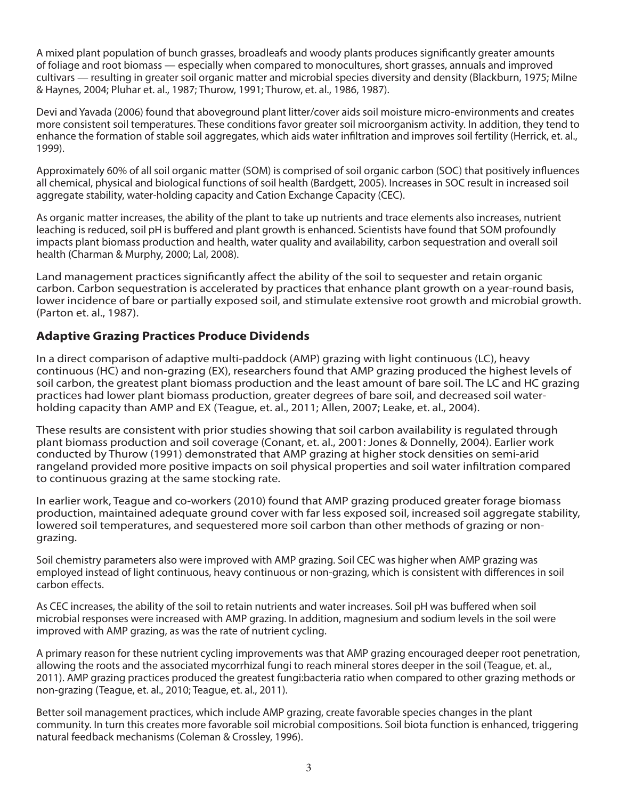A mixed plant population of bunch grasses, broadleafs and woody plants produces significantly greater amounts of foliage and root biomass — especially when compared to monocultures, short grasses, annuals and improved cultivars — resulting in greater soil organic matter and microbial species diversity and density (Blackburn, 1975; Milne & Haynes, 2004; Pluhar et. al., 1987; Thurow, 1991; Thurow, et. al., 1986, 1987).

Devi and Yavada (2006) found that aboveground plant litter/cover aids soil moisture micro-environments and creates more consistent soil temperatures. These conditions favor greater soil microorganism activity. In addition, they tend to enhance the formation of stable soil aggregates, which aids water infiltration and improves soil fertility (Herrick, et. al., 1999).

Approximately 60% of all soil organic matter (SOM) is comprised of soil organic carbon (SOC) that positively influences all chemical, physical and biological functions of soil health (Bardgett, 2005). Increases in SOC result in increased soil aggregate stability, water-holding capacity and Cation Exchange Capacity (CEC).

As organic matter increases, the ability of the plant to take up nutrients and trace elements also increases, nutrient leaching is reduced, soil pH is buffered and plant growth is enhanced. Scientists have found that SOM profoundly impacts plant biomass production and health, water quality and availability, carbon sequestration and overall soil health (Charman & Murphy, 2000; Lal, 2008).

Land management practices significantly affect the ability of the soil to sequester and retain organic carbon. Carbon sequestration is accelerated by practices that enhance plant growth on a year-round basis, lower incidence of bare or partially exposed soil, and stimulate extensive root growth and microbial growth. (Parton et. al., 1987).

## **Adaptive Grazing Practices Produce Dividends**

In a direct comparison of adaptive multi-paddock (AMP) grazing with light continuous (LC), heavy continuous (HC) and non-grazing (EX), researchers found that AMP grazing produced the highest levels of soil carbon, the greatest plant biomass production and the least amount of bare soil. The LC and HC grazing practices had lower plant biomass production, greater degrees of bare soil, and decreased soil waterholding capacity than AMP and EX (Teague, et. al., 2011; Allen, 2007; Leake, et. al., 2004).

These results are consistent with prior studies showing that soil carbon availability is regulated through plant biomass production and soil coverage (Conant, et. al., 2001: Jones & Donnelly, 2004). Earlier work conducted by Thurow (1991) demonstrated that AMP grazing at higher stock densities on semi-arid rangeland provided more positive impacts on soil physical properties and soil water infiltration compared to continuous grazing at the same stocking rate.

In earlier work, Teague and co-workers (2010) found that AMP grazing produced greater forage biomass production, maintained adequate ground cover with far less exposed soil, increased soil aggregate stability, lowered soil temperatures, and sequestered more soil carbon than other methods of grazing or nongrazing.

Soil chemistry parameters also were improved with AMP grazing. Soil CEC was higher when AMP grazing was employed instead of light continuous, heavy continuous or non-grazing, which is consistent with differences in soil carbon effects.

As CEC increases, the ability of the soil to retain nutrients and water increases. Soil pH was buffered when soil microbial responses were increased with AMP grazing. In addition, magnesium and sodium levels in the soil were improved with AMP grazing, as was the rate of nutrient cycling.

A primary reason for these nutrient cycling improvements was that AMP grazing encouraged deeper root penetration, allowing the roots and the associated mycorrhizal fungi to reach mineral stores deeper in the soil (Teague, et. al., 2011). AMP grazing practices produced the greatest fungi:bacteria ratio when compared to other grazing methods or non-grazing (Teague, et. al., 2010; Teague, et. al., 2011).

Better soil management practices, which include AMP grazing, create favorable species changes in the plant community. In turn this creates more favorable soil microbial compositions. Soil biota function is enhanced, triggering natural feedback mechanisms (Coleman & Crossley, 1996).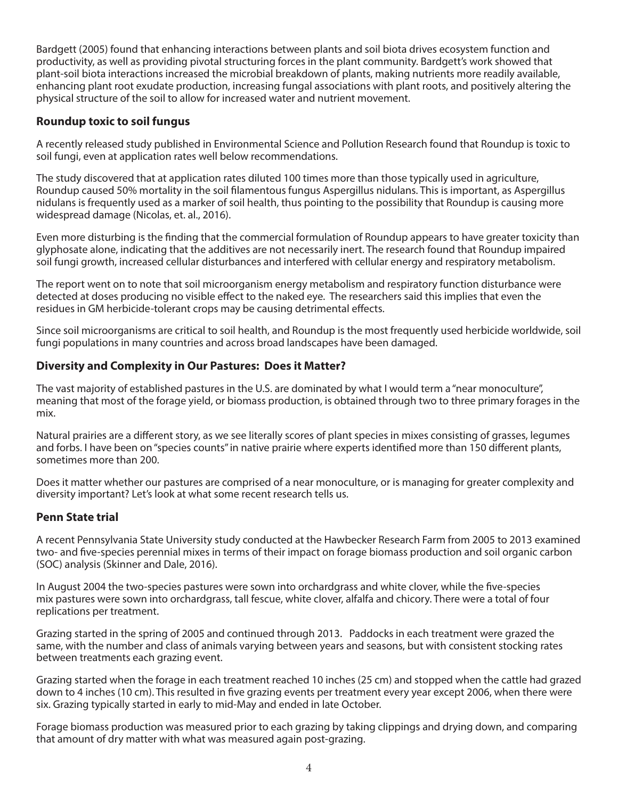Bardgett (2005) found that enhancing interactions between plants and soil biota drives ecosystem function and productivity, as well as providing pivotal structuring forces in the plant community. Bardgett's work showed that plant-soil biota interactions increased the microbial breakdown of plants, making nutrients more readily available, enhancing plant root exudate production, increasing fungal associations with plant roots, and positively altering the physical structure of the soil to allow for increased water and nutrient movement.

#### **Roundup toxic to soil fungus**

A recently released study published in Environmental Science and Pollution Research found that Roundup is toxic to soil fungi, even at application rates well below recommendations.

The study discovered that at application rates diluted 100 times more than those typically used in agriculture, Roundup caused 50% mortality in the soil filamentous fungus Aspergillus nidulans. This is important, as Aspergillus nidulans is frequently used as a marker of soil health, thus pointing to the possibility that Roundup is causing more widespread damage (Nicolas, et. al., 2016).

Even more disturbing is the finding that the commercial formulation of Roundup appears to have greater toxicity than glyphosate alone, indicating that the additives are not necessarily inert. The research found that Roundup impaired soil fungi growth, increased cellular disturbances and interfered with cellular energy and respiratory metabolism.

The report went on to note that soil microorganism energy metabolism and respiratory function disturbance were detected at doses producing no visible effect to the naked eye. The researchers said this implies that even the residues in GM herbicide-tolerant crops may be causing detrimental effects.

Since soil microorganisms are critical to soil health, and Roundup is the most frequently used herbicide worldwide, soil fungi populations in many countries and across broad landscapes have been damaged.

#### **Diversity and Complexity in Our Pastures: Does it Matter?**

The vast majority of established pastures in the U.S. are dominated by what I would term a "near monoculture", meaning that most of the forage yield, or biomass production, is obtained through two to three primary forages in the mix.

Natural prairies are a different story, as we see literally scores of plant species in mixes consisting of grasses, legumes and forbs. I have been on "species counts" in native prairie where experts identified more than 150 different plants, sometimes more than 200.

Does it matter whether our pastures are comprised of a near monoculture, or is managing for greater complexity and diversity important? Let's look at what some recent research tells us.

#### **Penn State trial**

A recent Pennsylvania State University study conducted at the Hawbecker Research Farm from 2005 to 2013 examined two- and five-species perennial mixes in terms of their impact on forage biomass production and soil organic carbon (SOC) analysis (Skinner and Dale, 2016).

In August 2004 the two-species pastures were sown into orchardgrass and white clover, while the five-species mix pastures were sown into orchardgrass, tall fescue, white clover, alfalfa and chicory. There were a total of four replications per treatment.

Grazing started in the spring of 2005 and continued through 2013. Paddocks in each treatment were grazed the same, with the number and class of animals varying between years and seasons, but with consistent stocking rates between treatments each grazing event.

Grazing started when the forage in each treatment reached 10 inches (25 cm) and stopped when the cattle had grazed down to 4 inches (10 cm). This resulted in five grazing events per treatment every year except 2006, when there were six. Grazing typically started in early to mid-May and ended in late October.

Forage biomass production was measured prior to each grazing by taking clippings and drying down, and comparing that amount of dry matter with what was measured again post-grazing.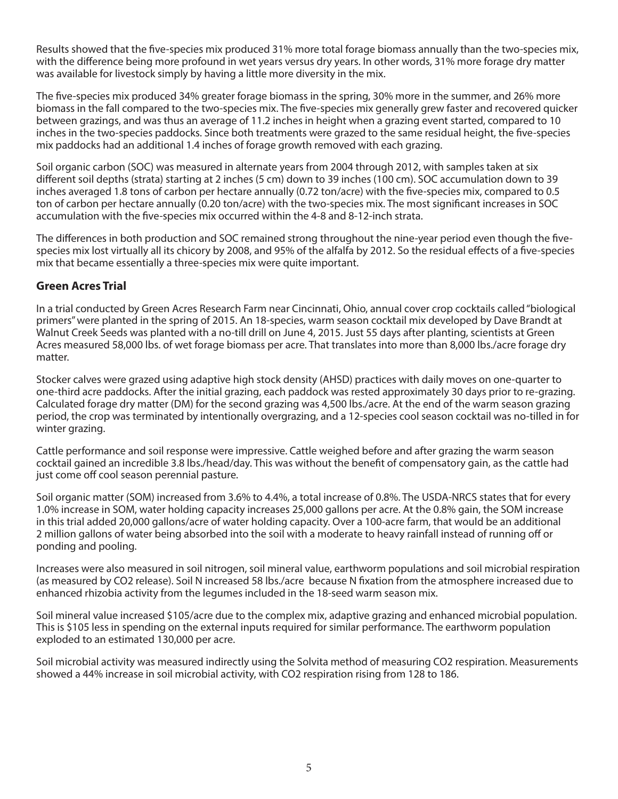Results showed that the five-species mix produced 31% more total forage biomass annually than the two-species mix, with the difference being more profound in wet years versus dry years. In other words, 31% more forage dry matter was available for livestock simply by having a little more diversity in the mix.

The five-species mix produced 34% greater forage biomass in the spring, 30% more in the summer, and 26% more biomass in the fall compared to the two-species mix. The five-species mix generally grew faster and recovered quicker between grazings, and was thus an average of 11.2 inches in height when a grazing event started, compared to 10 inches in the two-species paddocks. Since both treatments were grazed to the same residual height, the five-species mix paddocks had an additional 1.4 inches of forage growth removed with each grazing.

Soil organic carbon (SOC) was measured in alternate years from 2004 through 2012, with samples taken at six different soil depths (strata) starting at 2 inches (5 cm) down to 39 inches (100 cm). SOC accumulation down to 39 inches averaged 1.8 tons of carbon per hectare annually (0.72 ton/acre) with the five-species mix, compared to 0.5 ton of carbon per hectare annually (0.20 ton/acre) with the two-species mix. The most significant increases in SOC accumulation with the five-species mix occurred within the 4-8 and 8-12-inch strata.

The differences in both production and SOC remained strong throughout the nine-year period even though the fivespecies mix lost virtually all its chicory by 2008, and 95% of the alfalfa by 2012. So the residual effects of a five-species mix that became essentially a three-species mix were quite important.

## **Green Acres Trial**

In a trial conducted by Green Acres Research Farm near Cincinnati, Ohio, annual cover crop cocktails called "biological primers" were planted in the spring of 2015. An 18-species, warm season cocktail mix developed by Dave Brandt at Walnut Creek Seeds was planted with a no-till drill on June 4, 2015. Just 55 days after planting, scientists at Green Acres measured 58,000 lbs. of wet forage biomass per acre. That translates into more than 8,000 lbs./acre forage dry matter.

Stocker calves were grazed using adaptive high stock density (AHSD) practices with daily moves on one-quarter to one-third acre paddocks. After the initial grazing, each paddock was rested approximately 30 days prior to re-grazing. Calculated forage dry matter (DM) for the second grazing was 4,500 lbs./acre. At the end of the warm season grazing period, the crop was terminated by intentionally overgrazing, and a 12-species cool season cocktail was no-tilled in for winter grazing.

Cattle performance and soil response were impressive. Cattle weighed before and after grazing the warm season cocktail gained an incredible 3.8 lbs./head/day. This was without the benefit of compensatory gain, as the cattle had just come off cool season perennial pasture.

Soil organic matter (SOM) increased from 3.6% to 4.4%, a total increase of 0.8%. The USDA-NRCS states that for every 1.0% increase in SOM, water holding capacity increases 25,000 gallons per acre. At the 0.8% gain, the SOM increase in this trial added 20,000 gallons/acre of water holding capacity. Over a 100-acre farm, that would be an additional 2 million gallons of water being absorbed into the soil with a moderate to heavy rainfall instead of running off or ponding and pooling.

Increases were also measured in soil nitrogen, soil mineral value, earthworm populations and soil microbial respiration (as measured by CO2 release). Soil N increased 58 lbs./acre because N fixation from the atmosphere increased due to enhanced rhizobia activity from the legumes included in the 18-seed warm season mix.

Soil mineral value increased \$105/acre due to the complex mix, adaptive grazing and enhanced microbial population. This is \$105 less in spending on the external inputs required for similar performance. The earthworm population exploded to an estimated 130,000 per acre.

Soil microbial activity was measured indirectly using the Solvita method of measuring CO2 respiration. Measurements showed a 44% increase in soil microbial activity, with CO2 respiration rising from 128 to 186.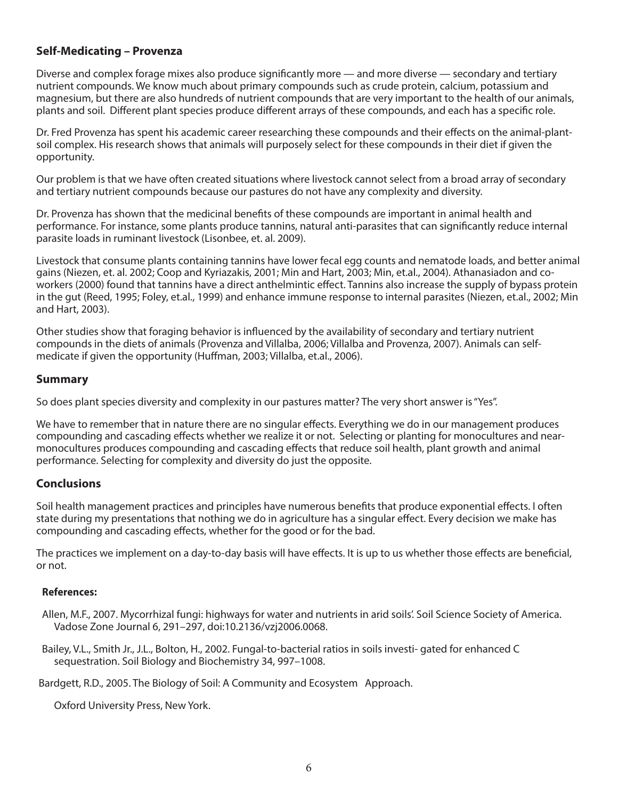#### **Self-Medicating – Provenza**

Diverse and complex forage mixes also produce significantly more — and more diverse — secondary and tertiary nutrient compounds. We know much about primary compounds such as crude protein, calcium, potassium and magnesium, but there are also hundreds of nutrient compounds that are very important to the health of our animals, plants and soil. Different plant species produce different arrays of these compounds, and each has a specific role.

Dr. Fred Provenza has spent his academic career researching these compounds and their effects on the animal-plantsoil complex. His research shows that animals will purposely select for these compounds in their diet if given the opportunity.

Our problem is that we have often created situations where livestock cannot select from a broad array of secondary and tertiary nutrient compounds because our pastures do not have any complexity and diversity.

Dr. Provenza has shown that the medicinal benefits of these compounds are important in animal health and performance. For instance, some plants produce tannins, natural anti-parasites that can significantly reduce internal parasite loads in ruminant livestock (Lisonbee, et. al. 2009).

Livestock that consume plants containing tannins have lower fecal egg counts and nematode loads, and better animal gains (Niezen, et. al. 2002; Coop and Kyriazakis, 2001; Min and Hart, 2003; Min, et.al., 2004). Athanasiadon and coworkers (2000) found that tannins have a direct anthelmintic effect. Tannins also increase the supply of bypass protein in the gut (Reed, 1995; Foley, et.al., 1999) and enhance immune response to internal parasites (Niezen, et.al., 2002; Min and Hart, 2003).

Other studies show that foraging behavior is influenced by the availability of secondary and tertiary nutrient compounds in the diets of animals (Provenza and Villalba, 2006; Villalba and Provenza, 2007). Animals can selfmedicate if given the opportunity (Huffman, 2003; Villalba, et.al., 2006).

#### **Summary**

So does plant species diversity and complexity in our pastures matter? The very short answer is "Yes".

We have to remember that in nature there are no singular effects. Everything we do in our management produces compounding and cascading effects whether we realize it or not. Selecting or planting for monocultures and nearmonocultures produces compounding and cascading effects that reduce soil health, plant growth and animal performance. Selecting for complexity and diversity do just the opposite.

#### **Conclusions**

Soil health management practices and principles have numerous benefits that produce exponential effects. I often state during my presentations that nothing we do in agriculture has a singular effect. Every decision we make has compounding and cascading effects, whether for the good or for the bad.

The practices we implement on a day-to-day basis will have effects. It is up to us whether those effects are beneficial, or not.

#### **References:**

Allen, M.F., 2007. Mycorrhizal fungi: highways for water and nutrients in arid soils'. Soil Science Society of America. Vadose Zone Journal 6, 291–297, doi:10.2136/vzj2006.0068.

Bailey, V.L., Smith Jr., J.L., Bolton, H., 2002. Fungal-to-bacterial ratios in soils investi- gated for enhanced C sequestration. Soil Biology and Biochemistry 34, 997–1008.

Bardgett, R.D., 2005. The Biology of Soil: A Community and Ecosystem Approach.

Oxford University Press, New York.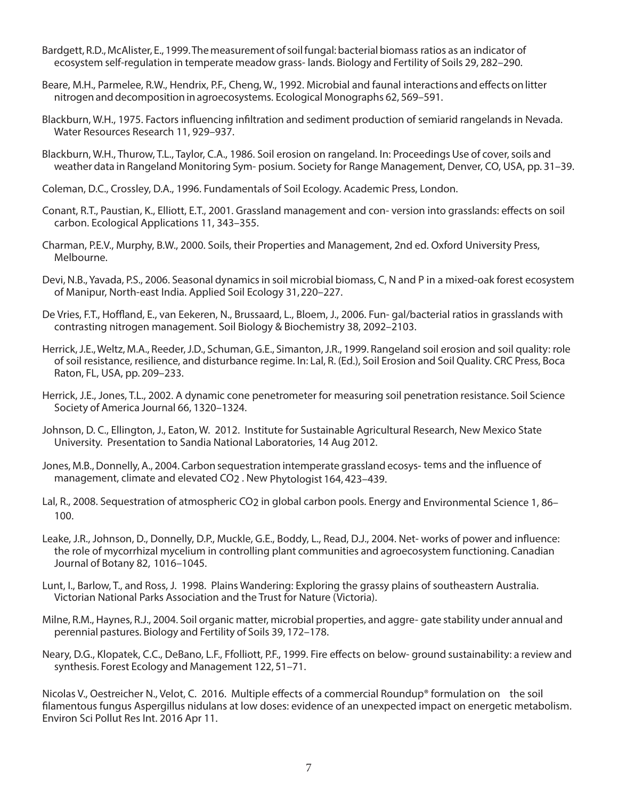- Bardgett, R.D., McAlister, E., 1999. The measurement of soil fungal: bacterial biomass ratios as an indicator of ecosystem self-regulation in temperate meadow grass- lands. Biology and Fertility of Soils 29, 282–290.
- Beare, M.H., Parmelee, R.W., Hendrix, P.F., Cheng, W., 1992. Microbial and faunal interactions and effects on litter nitrogen and decomposition in agroecosystems. Ecological Monographs 62, 569–591.
- Blackburn, W.H., 1975. Factors influencing infiltration and sediment production of semiarid rangelands in Nevada. Water Resources Research 11, 929–937.
- Blackburn, W.H., Thurow, T.L., Taylor, C.A., 1986. Soil erosion on rangeland. In: Proceedings Use of cover, soils and weather data in Rangeland Monitoring Sym- posium. Society for Range Management, Denver, CO, USA, pp. 31–39.
- Coleman, D.C., Crossley, D.A., 1996. Fundamentals of Soil Ecology. Academic Press, London.
- Conant, R.T., Paustian, K., Elliott, E.T., 2001. Grassland management and con- version into grasslands: effects on soil carbon. Ecological Applications 11, 343–355.
- Charman, P.E.V., Murphy, B.W., 2000. Soils, their Properties and Management, 2nd ed. Oxford University Press, Melbourne.
- Devi, N.B., Yavada, P.S., 2006. Seasonal dynamics in soil microbial biomass, C, N and P in a mixed-oak forest ecosystem of Manipur, North-east India. Applied Soil Ecology 31, 220–227.
- De Vries, F.T., Hoffland, E., van Eekeren, N., Brussaard, L., Bloem, J., 2006. Fun- gal/bacterial ratios in grasslands with contrasting nitrogen management. Soil Biology & Biochemistry 38, 2092–2103.
- Herrick, J.E., Weltz, M.A., Reeder, J.D., Schuman, G.E., Simanton, J.R., 1999. Rangeland soil erosion and soil quality: role of soil resistance, resilience, and disturbance regime. In: Lal, R. (Ed.), Soil Erosion and Soil Quality. CRC Press, Boca Raton, FL, USA, pp. 209–233.
- Herrick, J.E., Jones, T.L., 2002. A dynamic cone penetrometer for measuring soil penetration resistance. Soil Science Society of America Journal 66, 1320–1324.
- Johnson, D. C., Ellington, J., Eaton, W. 2012. Institute for Sustainable Agricultural Research, New Mexico State University. Presentation to Sandia National Laboratories, 14 Aug 2012.
- Jones, M.B., Donnelly, A., 2004. Carbon sequestration intemperate grassland ecosys- tems and the influence of management, climate and elevated CO2 . New Phytologist 164, 423–439.
- Lal, R., 2008. Sequestration of atmospheric CO2 in global carbon pools. Energy and Environmental Science 1, 86– 100.
- Leake, J.R., Johnson, D., Donnelly, D.P., Muckle, G.E., Boddy, L., Read, D.J., 2004. Net- works of power and influence: the role of mycorrhizal mycelium in controlling plant communities and agroecosystem functioning. Canadian Journal of Botany 82, 1016–1045.
- Lunt, I., Barlow, T., and Ross, J. 1998. Plains Wandering: Exploring the grassy plains of southeastern Australia. Victorian National Parks Association and the Trust for Nature (Victoria).
- Milne, R.M., Haynes, R.J., 2004. Soil organic matter, microbial properties, and aggre- gate stability under annual and perennial pastures. Biology and Fertility of Soils 39, 172–178.
- Neary, D.G., Klopatek, C.C., DeBano, L.F., Ffolliott, P.F., 1999. Fire effects on below- ground sustainability: a review and synthesis. Forest Ecology and Management 122, 51–71.

Nicolas V., Oestreicher N., Velot, C. 2016. Multiple effects of a commercial Roundup® formulation on the soil filamentous fungus Aspergillus nidulans at low doses: evidence of an unexpected impact on energetic metabolism. Environ Sci Pollut Res Int. 2016 Apr 11.